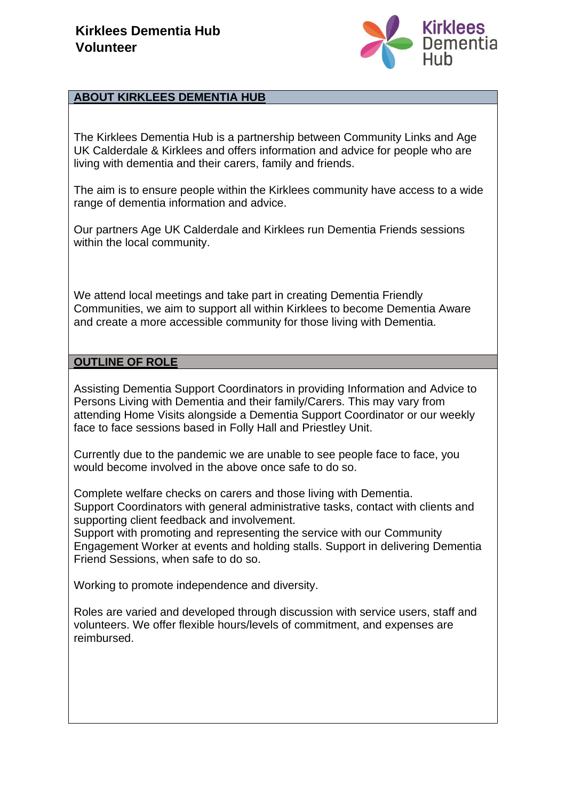

## **ABOUT KIRKLEES DEMENTIA HUB**

The Kirklees Dementia Hub is a partnership between Community Links and Age UK Calderdale & Kirklees and offers information and advice for people who are living with dementia and their carers, family and friends.

The aim is to ensure people within the Kirklees community have access to a wide range of dementia information and advice.

Our partners Age UK Calderdale and Kirklees run Dementia Friends sessions within the local community.

We attend local meetings and take part in creating Dementia Friendly Communities, we aim to support all within Kirklees to become Dementia Aware and create a more accessible community for those living with Dementia.

### **OUTLINE OF ROLE**

Assisting Dementia Support Coordinators in providing Information and Advice to Persons Living with Dementia and their family/Carers. This may vary from attending Home Visits alongside a Dementia Support Coordinator or our weekly face to face sessions based in Folly Hall and Priestley Unit.

Currently due to the pandemic we are unable to see people face to face, you would become involved in the above once safe to do so.

Complete welfare checks on carers and those living with Dementia. Support Coordinators with general administrative tasks, contact with clients and supporting client feedback and involvement.

Support with promoting and representing the service with our Community Engagement Worker at events and holding stalls. Support in delivering Dementia Friend Sessions, when safe to do so.

Working to promote independence and diversity.

Roles are varied and developed through discussion with service users, staff and volunteers. We offer flexible hours/levels of commitment, and expenses are reimbursed.